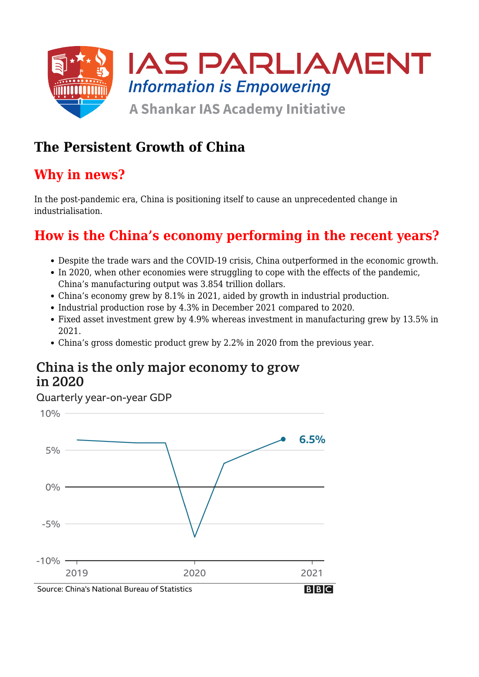

## **The Persistent Growth of China**

## **Why in news?**

In the post-pandemic era, China is positioning itself to cause an unprecedented change in industrialisation.

## **How is the China's economy performing in the recent years?**

- Despite the trade wars and the COVID-19 crisis, China outperformed in the economic growth.
- In 2020, when other economies were struggling to cope with the effects of the pandemic, China's manufacturing output was 3.854 trillion dollars.
- China's economy grew by 8.1% in 2021, aided by growth in industrial production.
- Industrial production rose by 4.3% in December 2021 compared to 2020.
- Fixed asset investment grew by 4.9% whereas investment in manufacturing grew by 13.5% in 2021.
- China's gross domestic product grew by 2.2% in 2020 from the previous year.

### China is the only major economy to grow in 2020

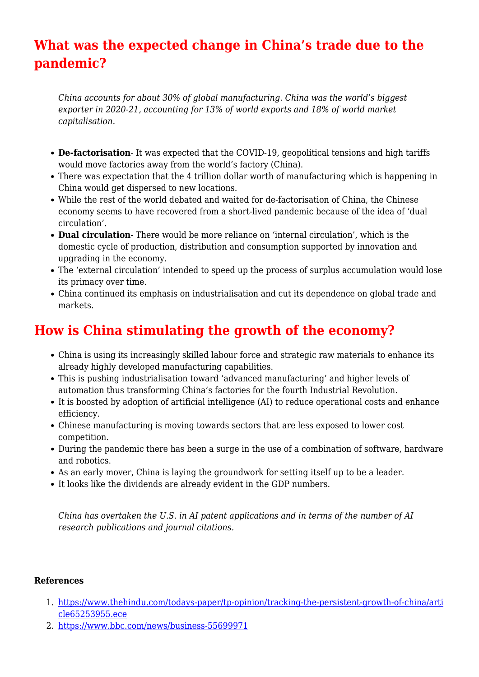# **What was the expected change in China's trade due to the pandemic?**

*China accounts for about 30% of global manufacturing. China was the world's biggest exporter in 2020-21, accounting for 13% of world exports and 18% of world market capitalisation.*

- **De-factorisation** It was expected that the COVID-19, geopolitical tensions and high tariffs would move factories away from the world's factory (China).
- There was expectation that the 4 trillion dollar worth of manufacturing which is happening in China would get dispersed to new locations.
- While the rest of the world debated and waited for de-factorisation of China, the Chinese economy seems to have recovered from a short-lived pandemic because of the idea of 'dual circulation'.
- **Dual circulation** There would be more reliance on 'internal circulation', which is the domestic cycle of production, distribution and consumption supported by innovation and upgrading in the economy.
- The 'external circulation' intended to speed up the process of surplus accumulation would lose its primacy over time.
- China continued its emphasis on industrialisation and cut its dependence on global trade and markets.

## **How is China stimulating the growth of the economy?**

- China is using its increasingly skilled labour force and strategic raw materials to enhance its already highly developed manufacturing capabilities.
- This is pushing industrialisation toward 'advanced manufacturing' and higher levels of automation thus transforming China's factories for the fourth Industrial Revolution.
- It is boosted by adoption of artificial intelligence (AI) to reduce operational costs and enhance efficiency.
- Chinese manufacturing is moving towards sectors that are less exposed to lower cost competition.
- During the pandemic there has been a surge in the use of a combination of software, hardware and robotics.
- As an early mover, China is laying the groundwork for setting itself up to be a leader.
- It looks like the dividends are already evident in the GDP numbers.

*China has overtaken the U.S. in AI patent applications and in terms of the number of AI research publications and journal citations.*

#### **References**

- 1. [https://www.thehindu.com/todays-paper/tp-opinion/tracking-the-persistent-growth-of-china/arti](https://www.thehindu.com/todays-paper/tp-opinion/tracking-the-persistent-growth-of-china/article65253955.ece) [cle65253955.ece](https://www.thehindu.com/todays-paper/tp-opinion/tracking-the-persistent-growth-of-china/article65253955.ece)
- 2. <https://www.bbc.com/news/business-55699971>